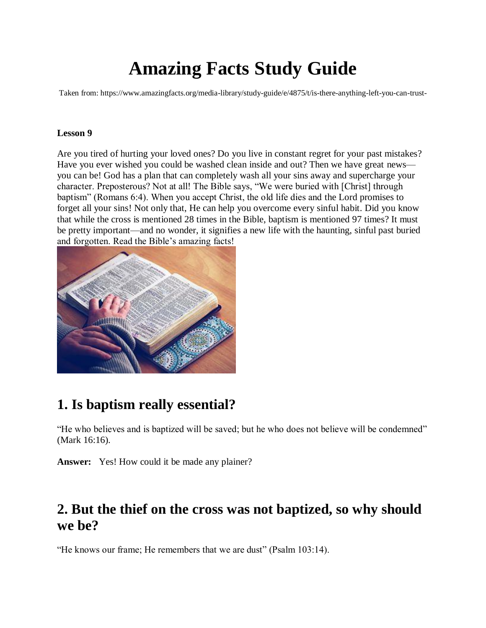# **Amazing Facts Study Guide**

Taken from: https://www.amazingfacts.org/media-library/study-guide/e/4875/t/is-there-anything-left-you-can-trust-

### **Lesson 9**

Are you tired of hurting your loved ones? Do you live in constant regret for your past mistakes? Have you ever wished you could be washed clean inside and out? Then we have great news you can be! God has a plan that can completely wash all your sins away and supercharge your character. Preposterous? Not at all! The Bible says, "We were buried with [Christ] through baptism" (Romans 6:4). When you accept Christ, the old life dies and the Lord promises to forget all your sins! Not only that, He can help you overcome every sinful habit. Did you know that while the cross is mentioned 28 times in the Bible, baptism is mentioned 97 times? It must be pretty important—and no wonder, it signifies a new life with the haunting, sinful past buried and forgotten. Read the Bible's amazing facts!



## **1. Is baptism really essential?**

"He who believes and is baptized will be saved; but he who does not believe will be condemned" (Mark 16:16).

**Answer:** Yes! How could it be made any plainer?

## **2. But the thief on the cross was not baptized, so why should we be?**

"He knows our frame; He remembers that we are dust" (Psalm 103:14).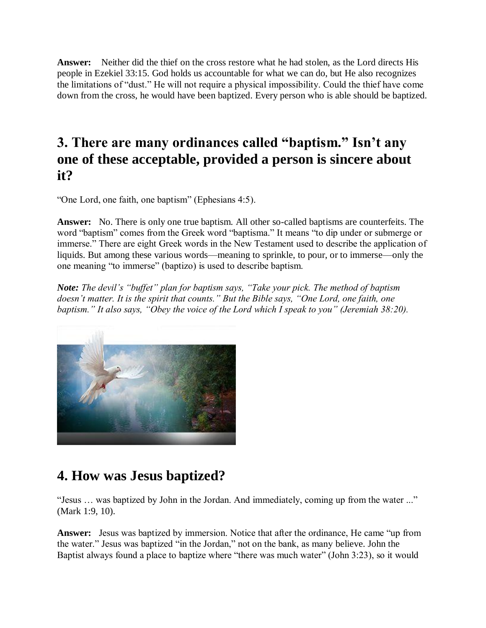**Answer:** Neither did the thief on the cross restore what he had stolen, as the Lord directs His people in Ezekiel 33:15. God holds us accountable for what we can do, but He also recognizes the limitations of "dust." He will not require a physical impossibility. Could the thief have come down from the cross, he would have been baptized. Every person who is able should be baptized.

## **3. There are many ordinances called "baptism." Isn't any one of these acceptable, provided a person is sincere about it?**

"One Lord, one faith, one baptism" (Ephesians 4:5).

**Answer:** No. There is only one true baptism. All other so-called baptisms are counterfeits. The word "baptism" comes from the Greek word "baptisma." It means "to dip under or submerge or immerse." There are eight Greek words in the New Testament used to describe the application of liquids. But among these various words—meaning to sprinkle, to pour, or to immerse—only the one meaning "to immerse" (baptizo) is used to describe baptism.

*Note: The devil's "buffet" plan for baptism says, "Take your pick. The method of baptism doesn't matter. It is the spirit that counts." But the Bible says, "One Lord, one faith, one baptism." It also says, "Obey the voice of the Lord which I speak to you" (Jeremiah 38:20).*



## **4. How was Jesus baptized?**

"Jesus … was baptized by John in the Jordan. And immediately, coming up from the water ..." (Mark 1:9, 10).

**Answer:** Jesus was baptized by immersion. Notice that after the ordinance, He came "up from the water." Jesus was baptized "in the Jordan," not on the bank, as many believe. John the Baptist always found a place to baptize where "there was much water" (John 3:23), so it would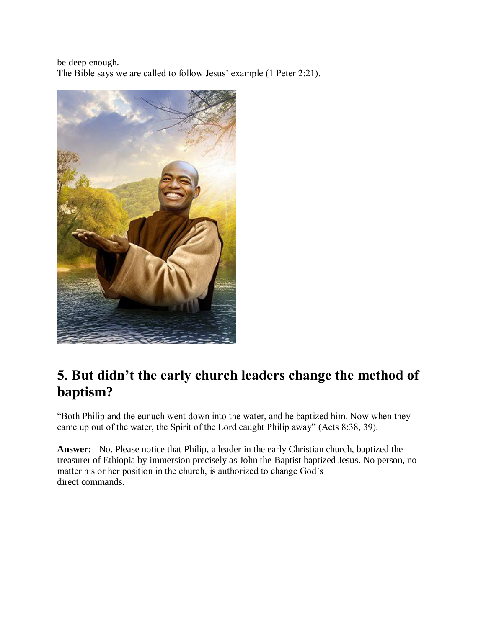be deep enough. The Bible says we are called to follow Jesus' example (1 Peter 2:21).



## **5. But didn't the early church leaders change the method of baptism?**

"Both Philip and the eunuch went down into the water, and he baptized him. Now when they came up out of the water, the Spirit of the Lord caught Philip away" (Acts 8:38, 39).

**Answer:** No. Please notice that Philip, a leader in the early Christian church, baptized the treasurer of Ethiopia by immersion precisely as John the Baptist baptized Jesus. No person, no matter his or her position in the church, is authorized to change God's direct commands.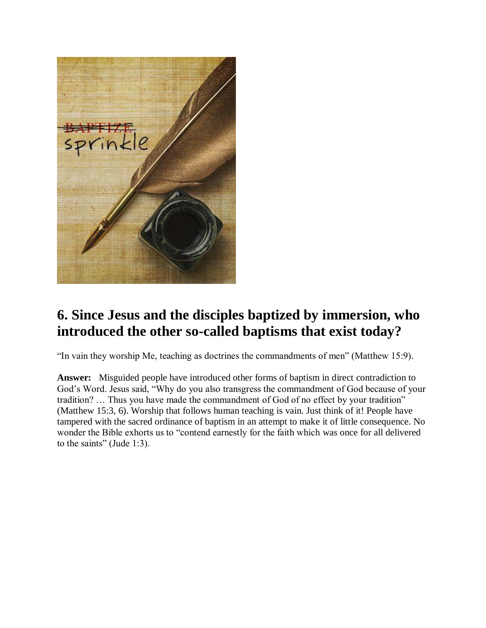

## **6. Since Jesus and the disciples baptized by immersion, who introduced the other so-called baptisms that exist today?**

"In vain they worship Me, teaching as doctrines the commandments of men" (Matthew 15:9).

**Answer:** Misguided people have introduced other forms of baptism in direct contradiction to God's Word. Jesus said, "Why do you also transgress the commandment of God because of your tradition? … Thus you have made the commandment of God of no effect by your tradition" (Matthew 15:3, 6). Worship that follows human teaching is vain. Just think of it! People have tampered with the sacred ordinance of baptism in an attempt to make it of little consequence. No wonder the Bible exhorts us to "contend earnestly for the faith which was once for all delivered to the saints" (Jude 1:3).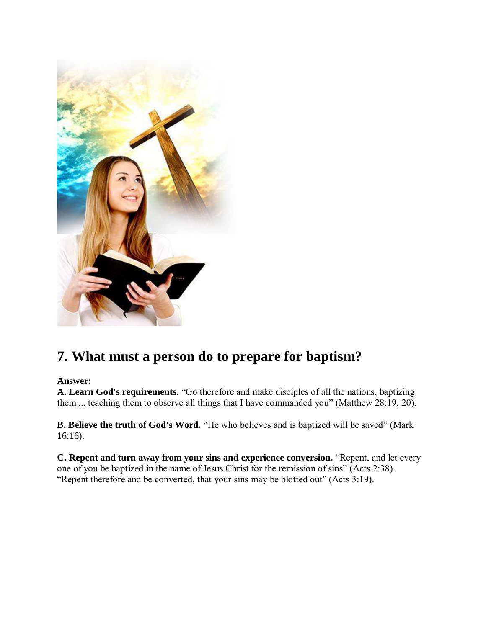

## **7. What must a person do to prepare for baptism?**

### **Answer:**

**A. Learn God's requirements.** "Go therefore and make disciples of all the nations, baptizing them ... teaching them to observe all things that I have commanded you" (Matthew 28:19, 20).

**B. Believe the truth of God's Word.** "He who believes and is baptized will be saved" (Mark 16:16).

**C. Repent and turn away from your sins and experience conversion.** "Repent, and let every one of you be baptized in the name of Jesus Christ for the remission of sins" (Acts 2:38). "Repent therefore and be converted, that your sins may be blotted out" (Acts 3:19).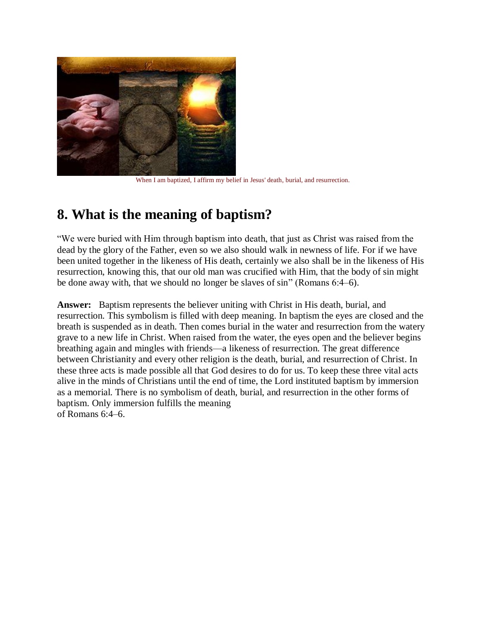

When I am baptized, I affirm my belief in Jesus' death, burial, and resurrection.

## **8. What is the meaning of baptism?**

"We were buried with Him through baptism into death, that just as Christ was raised from the dead by the glory of the Father, even so we also should walk in newness of life. For if we have been united together in the likeness of His death, certainly we also shall be in the likeness of His resurrection, knowing this, that our old man was crucified with Him, that the body of sin might be done away with, that we should no longer be slaves of sin" (Romans 6:4–6).

**Answer:** Baptism represents the believer uniting with Christ in His death, burial, and resurrection. This symbolism is filled with deep meaning. In baptism the eyes are closed and the breath is suspended as in death. Then comes burial in the water and resurrection from the watery grave to a new life in Christ. When raised from the water, the eyes open and the believer begins breathing again and mingles with friends—a likeness of resurrection. The great difference between Christianity and every other religion is the death, burial, and resurrection of Christ. In these three acts is made possible all that God desires to do for us. To keep these three vital acts alive in the minds of Christians until the end of time, the Lord instituted baptism by immersion as a memorial. There is no symbolism of death, burial, and resurrection in the other forms of baptism. Only immersion fulfills the meaning of Romans 6:4–6.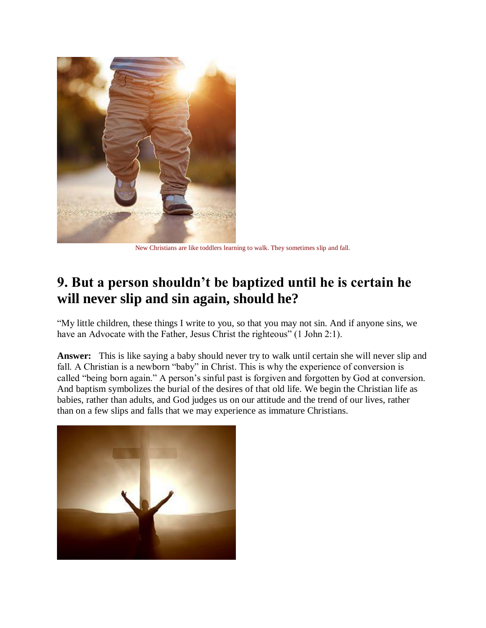

New Christians are like toddlers learning to walk. They sometimes slip and fall.

## **9. But a person shouldn't be baptized until he is certain he will never slip and sin again, should he?**

"My little children, these things I write to you, so that you may not sin. And if anyone sins, we have an Advocate with the Father, Jesus Christ the righteous" (1 John 2:1).

**Answer:** This is like saying a baby should never try to walk until certain she will never slip and fall. A Christian is a newborn "baby" in Christ. This is why the experience of conversion is called "being born again." A person's sinful past is forgiven and forgotten by God at conversion. And baptism symbolizes the burial of the desires of that old life. We begin the Christian life as babies, rather than adults, and God judges us on our attitude and the trend of our lives, rather than on a few slips and falls that we may experience as immature Christians.

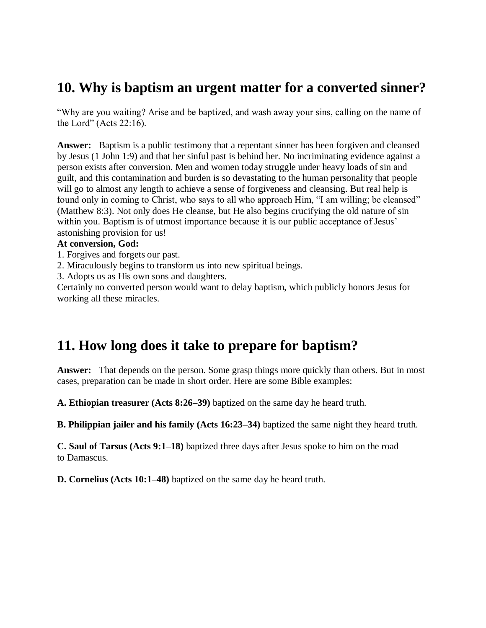## **10. Why is baptism an urgent matter for a converted sinner?**

"Why are you waiting? Arise and be baptized, and wash away your sins, calling on the name of the Lord" (Acts 22:16).

**Answer:** Baptism is a public testimony that a repentant sinner has been forgiven and cleansed by Jesus (1 John 1:9) and that her sinful past is behind her. No incriminating evidence against a person exists after conversion. Men and women today struggle under heavy loads of sin and guilt, and this contamination and burden is so devastating to the human personality that people will go to almost any length to achieve a sense of forgiveness and cleansing. But real help is found only in coming to Christ, who says to all who approach Him, "I am willing; be cleansed" (Matthew 8:3). Not only does He cleanse, but He also begins crucifying the old nature of sin within you. Baptism is of utmost importance because it is our public acceptance of Jesus' astonishing provision for us!

#### **At conversion, God:**

1. Forgives and forgets our past.

2. Miraculously begins to transform us into new spiritual beings.

3. Adopts us as His own sons and daughters.

Certainly no converted person would want to delay baptism, which publicly honors Jesus for working all these miracles.

## **11. How long does it take to prepare for baptism?**

**Answer:** That depends on the person. Some grasp things more quickly than others. But in most cases, preparation can be made in short order. Here are some Bible examples:

**A. Ethiopian treasurer (Acts 8:26–39)** baptized on the same day he heard truth.

**B. Philippian jailer and his family (Acts 16:23–34)** baptized the same night they heard truth.

**C. Saul of Tarsus (Acts 9:1–18)** baptized three days after Jesus spoke to him on the road to Damascus.

**D. Cornelius (Acts 10:1–48)** baptized on the same day he heard truth.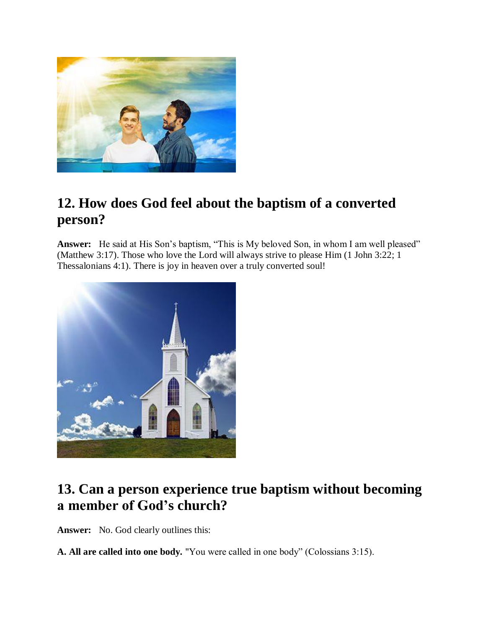

## **12. How does God feel about the baptism of a converted person?**

**Answer:** He said at His Son's baptism, "This is My beloved Son, in whom I am well pleased" (Matthew 3:17). Those who love the Lord will always strive to please Him (1 John 3:22; 1 Thessalonians 4:1). There is joy in heaven over a truly converted soul!



## **13. Can a person experience true baptism without becoming a member of God's church?**

**Answer:** No. God clearly outlines this:

**A. All are called into one body.** "You were called in one body" (Colossians 3:15).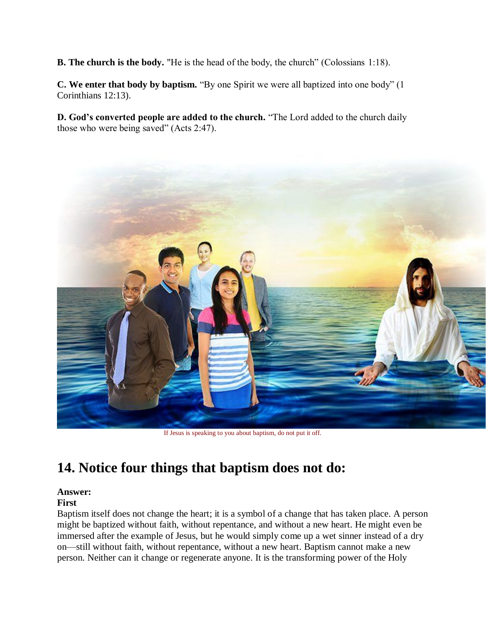**B. The church is the body.** "He is the head of the body, the church" (Colossians 1:18).

**C. We enter that body by baptism.** "By one Spirit we were all baptized into one body" (1 Corinthians 12:13).

**D. God's converted people are added to the church.** "The Lord added to the church daily those who were being saved" (Acts 2:47).



If Jesus is speaking to you about baptism, do not put it off.

## **14. Notice four things that baptism does not do:**

## **Answer:**

### **First**

Baptism itself does not change the heart; it is a symbol of a change that has taken place. A person might be baptized without faith, without repentance, and without a new heart. He might even be immersed after the example of Jesus, but he would simply come up a wet sinner instead of a dry on—still without faith, without repentance, without a new heart. Baptism cannot make a new person. Neither can it change or regenerate anyone. It is the transforming power of the Holy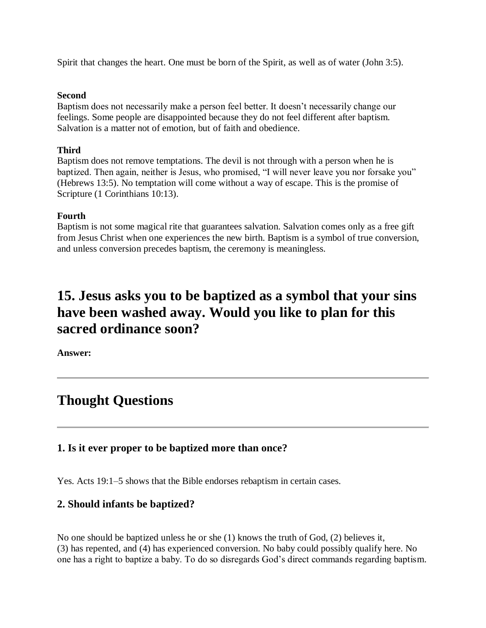Spirit that changes the heart. One must be born of the Spirit, as well as of water (John 3:5).

#### **Second**

Baptism does not necessarily make a person feel better. It doesn't necessarily change our feelings. Some people are disappointed because they do not feel different after baptism. Salvation is a matter not of emotion, but of faith and obedience.

### **Third**

Baptism does not remove temptations. The devil is not through with a person when he is baptized. Then again, neither is Jesus, who promised, "I will never leave you nor forsake you" (Hebrews 13:5). No temptation will come without a way of escape. This is the promise of Scripture (1 Corinthians 10:13).

### **Fourth**

Baptism is not some magical rite that guarantees salvation. Salvation comes only as a free gift from Jesus Christ when one experiences the new birth. Baptism is a symbol of true conversion, and unless conversion precedes baptism, the ceremony is meaningless.

## **15. Jesus asks you to be baptized as a symbol that your sins have been washed away. Would you like to plan for this sacred ordinance soon?**

**Answer:**

## **Thought Questions**

### **1. Is it ever proper to be baptized more than once?**

Yes. Acts 19:1–5 shows that the Bible endorses rebaptism in certain cases.

### **2. Should infants be baptized?**

No one should be baptized unless he or she (1) knows the truth of God, (2) believes it, (3) has repented, and (4) has experienced conversion. No baby could possibly qualify here. No one has a right to baptize a baby. To do so disregards God's direct commands regarding baptism.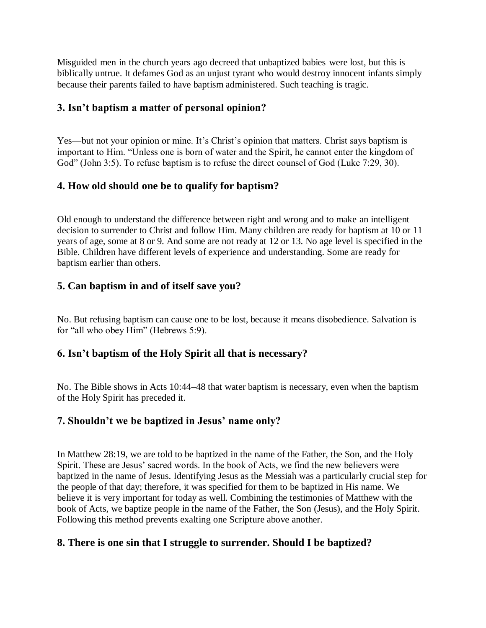Misguided men in the church years ago decreed that unbaptized babies were lost, but this is biblically untrue. It defames God as an unjust tyrant who would destroy innocent infants simply because their parents failed to have baptism administered. Such teaching is tragic.

## **3. Isn't baptism a matter of personal opinion?**

Yes—but not your opinion or mine. It's Christ's opinion that matters. Christ says baptism is important to Him. "Unless one is born of water and the Spirit, he cannot enter the kingdom of God" (John 3:5). To refuse baptism is to refuse the direct counsel of God (Luke 7:29, 30).

## **4. How old should one be to qualify for baptism?**

Old enough to understand the difference between right and wrong and to make an intelligent decision to surrender to Christ and follow Him. Many children are ready for baptism at 10 or 11 years of age, some at 8 or 9. And some are not ready at 12 or 13. No age level is specified in the Bible. Children have different levels of experience and understanding. Some are ready for baptism earlier than others.

## **5. Can baptism in and of itself save you?**

No. But refusing baptism can cause one to be lost, because it means disobedience. Salvation is for "all who obey Him" (Hebrews 5:9).

## **6. Isn't baptism of the Holy Spirit all that is necessary?**

No. The Bible shows in Acts 10:44–48 that water baptism is necessary, even when the baptism of the Holy Spirit has preceded it.

## **7. Shouldn't we be baptized in Jesus' name only?**

In Matthew 28:19, we are told to be baptized in the name of the Father, the Son, and the Holy Spirit. These are Jesus' sacred words. In the book of Acts, we find the new believers were baptized in the name of Jesus. Identifying Jesus as the Messiah was a particularly crucial step for the people of that day; therefore, it was specified for them to be baptized in His name. We believe it is very important for today as well. Combining the testimonies of Matthew with the book of Acts, we baptize people in the name of the Father, the Son (Jesus), and the Holy Spirit. Following this method prevents exalting one Scripture above another.

## **8. There is one sin that I struggle to surrender. Should I be baptized?**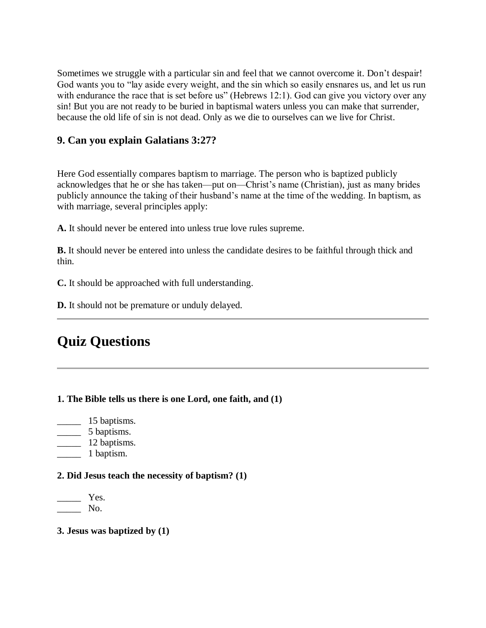Sometimes we struggle with a particular sin and feel that we cannot overcome it. Don't despair! God wants you to "lay aside every weight, and the sin which so easily ensnares us, and let us run with endurance the race that is set before us" (Hebrews 12:1). God can give you victory over any sin! But you are not ready to be buried in baptismal waters unless you can make that surrender, because the old life of sin is not dead. Only as we die to ourselves can we live for Christ.

### **9. Can you explain Galatians 3:27?**

Here God essentially compares baptism to marriage. The person who is baptized publicly acknowledges that he or she has taken—put on—Christ's name (Christian), just as many brides publicly announce the taking of their husband's name at the time of the wedding. In baptism, as with marriage, several principles apply:

**A.** It should never be entered into unless true love rules supreme.

**B.** It should never be entered into unless the candidate desires to be faithful through thick and thin.

**C.** It should be approached with full understanding.

**D.** It should not be premature or unduly delayed.

## **Quiz Questions**

### **1. The Bible tells us there is one Lord, one faith, and (1)**

- \_\_\_\_\_\_ 15 baptisms.
- \_\_\_\_\_ 5 baptisms.
- $\frac{12 \text{ baptisms}}{2 \text{ baptisms}}$ .
- $\frac{1}{2}$  1 baptism.

#### **2. Did Jesus teach the necessity of baptism? (1)**

Yes. \_\_\_\_\_ No.

#### **3. Jesus was baptized by (1)**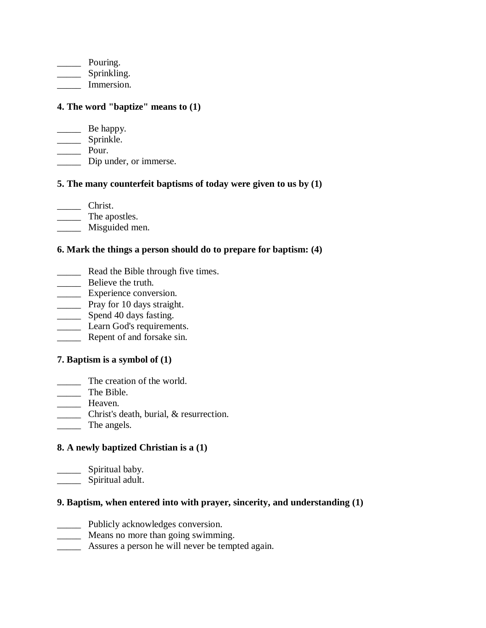\_\_\_\_\_\_\_\_ Pouring. \_\_\_\_\_\_\_ Sprinkling. \_\_\_\_\_ Immersion.

### **4. The word "baptize" means to (1)**

**EXECUTE:** Be happy. \_\_\_\_\_\_\_ Sprinkle. \_\_\_\_\_ Pour. \_\_\_\_\_ Dip under, or immerse.

### **5. The many counterfeit baptisms of today were given to us by (1)**

\_\_\_\_\_ Christ.

\_\_\_\_\_ The apostles.

\_\_\_\_\_ Misguided men.

### **6. Mark the things a person should do to prepare for baptism: (4)**

- **EXECUTE:** Read the Bible through five times.
- **EXECUTE:** Believe the truth.
- \_\_\_\_\_ Experience conversion.
- \_\_\_\_\_ Pray for 10 days straight.
- \_\_\_\_\_\_\_ Spend 40 days fasting.
- **Learn God's requirements.**
- **EXECUTE:** Repent of and forsake sin.

### **7. Baptism is a symbol of (1)**

- \_\_\_\_\_ The creation of the world.
- \_\_\_\_\_ The Bible.
- \_\_\_\_\_ Heaven.
- \_\_\_\_\_ Christ's death, burial, & resurrection.
- The angels.

### **8. A newly baptized Christian is a (1)**

\_\_\_\_\_\_\_ Spiritual baby. \_\_\_\_\_\_\_\_ Spiritual adult.

#### **9. Baptism, when entered into with prayer, sincerity, and understanding (1)**

- \_\_\_\_\_ Publicly acknowledges conversion.
- \_\_\_\_\_ Means no more than going swimming.
- \_\_\_\_\_ Assures a person he will never be tempted again.